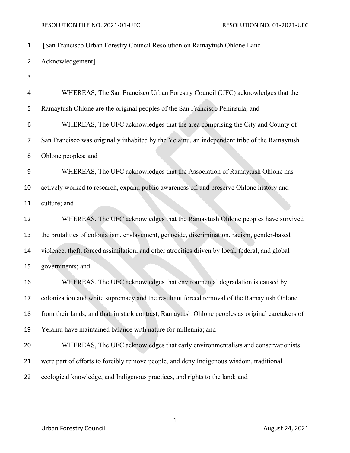## RESOLUTION FILE NO. 2021-01-UFC RESOLUTION NO. 01-2021-UFC

| $\mathbf{1}$    | [San Francisco Urban Forestry Council Resolution on Ramaytush Ohlone Land                         |
|-----------------|---------------------------------------------------------------------------------------------------|
| $\overline{2}$  | Acknowledgement]                                                                                  |
| 3               |                                                                                                   |
| 4               | WHEREAS, The San Francisco Urban Forestry Council (UFC) acknowledges that the                     |
| 5               | Ramaytush Ohlone are the original peoples of the San Francisco Peninsula; and                     |
| 6               | WHEREAS, The UFC acknowledges that the area comprising the City and County of                     |
| 7               | San Francisco was originally inhabited by the Yelamu, an independent tribe of the Ramaytush       |
| 8               | Ohlone peoples; and                                                                               |
| 9               | WHEREAS, The UFC acknowledges that the Association of Ramaytush Ohlone has                        |
| 10              | actively worked to research, expand public awareness of, and preserve Ohlone history and          |
| 11              | culture; and                                                                                      |
| 12              | WHEREAS, The UFC acknowledges that the Ramaytush Ohlone peoples have survived                     |
| 13              | the brutalities of colonialism, enslavement, genocide, discrimination, racism, gender-based       |
| 14              | violence, theft, forced assimilation, and other atrocities driven by local, federal, and global   |
| 15              | governments; and                                                                                  |
| 16              | WHEREAS, The UFC acknowledges that environmental degradation is caused by                         |
| 17 <sup>2</sup> | colonization and white supremacy and the resultant forced removal of the Ramaytush Ohlone         |
| 18              | from their lands, and that, in stark contrast, Ramaytush Ohlone peoples as original caretakers of |
| 19              | Yelamu have maintained balance with nature for millennia; and                                     |
| 20              | WHEREAS, The UFC acknowledges that early environmentalists and conservationists                   |
| 21              | were part of efforts to forcibly remove people, and deny Indigenous wisdom, traditional           |
| 22              | ecological knowledge, and Indigenous practices, and rights to the land; and                       |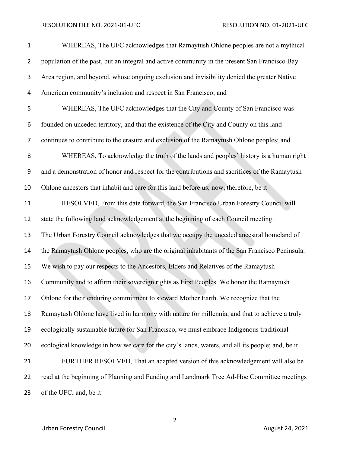## RESOLUTION FILE NO. 2021-01-UFC RESOLUTION NO. 01-2021-UFC

| $\mathbf{1}$   | WHEREAS, The UFC acknowledges that Ramaytush Ohlone peoples are not a mythical                   |
|----------------|--------------------------------------------------------------------------------------------------|
| $\overline{2}$ | population of the past, but an integral and active community in the present San Francisco Bay    |
| 3              | Area region, and beyond, whose ongoing exclusion and invisibility denied the greater Native      |
| 4              | American community's inclusion and respect in San Francisco; and                                 |
| 5              | WHEREAS, The UFC acknowledges that the City and County of San Francisco was                      |
| 6              | founded on unceded territory, and that the existence of the City and County on this land         |
| 7              | continues to contribute to the erasure and exclusion of the Ramaytush Ohlone peoples; and        |
| 8              | WHEREAS, To acknowledge the truth of the lands and peoples' history is a human right             |
| 9              | and a demonstration of honor and respect for the contributions and sacrifices of the Ramaytush   |
| 10             | Ohlone ancestors that inhabit and care for this land before us; now, therefore, be it            |
| 11             | RESOLVED, From this date forward, the San Francisco Urban Forestry Council will                  |
| 12             | state the following land acknowledgement at the beginning of each Council meeting:               |
| 13             | The Urban Forestry Council acknowledges that we occupy the unceded ancestral homeland of         |
| 14             | the Ramaytush Ohlone peoples, who are the original inhabitants of the San Francisco Peninsula.   |
| 15             | We wish to pay our respects to the Ancestors, Elders and Relatives of the Ramaytush              |
| 16             | Community and to affirm their sovereign rights as First Peoples. We honor the Ramaytush          |
| 17             | Ohlone for their enduring commitment to steward Mother Earth. We recognize that the              |
| 18             | Ramaytush Ohlone have lived in harmony with nature for millennia, and that to achieve a truly    |
| 19             | ecologically sustainable future for San Francisco, we must embrace Indigenous traditional        |
| 20             | ecological knowledge in how we care for the city's lands, waters, and all its people; and, be it |
| 21             | FURTHER RESOLVED, That an adapted version of this acknowledgement will also be                   |
| 22             | read at the beginning of Planning and Funding and Landmark Tree Ad-Hoc Committee meetings        |
| 23             | of the UFC; and, be it                                                                           |